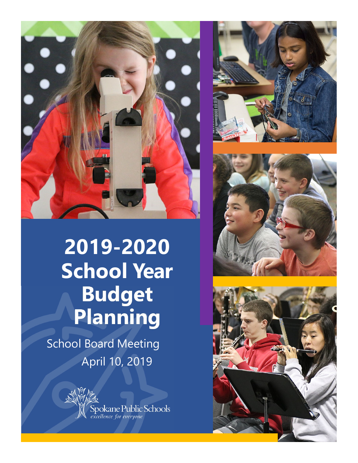

# **2019-2020 School Year Budget Planning**

School Board Meeting April 10, 2019



Spokane Public Schools<br>excellence for everyone





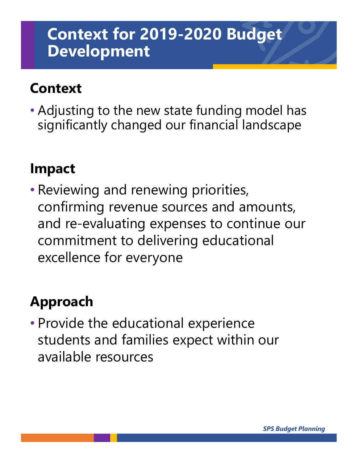### **Context for 2019-2020 Budget Development**

### **Context**

• Adjusting to the new state funding model has significantly changed our financial landscape

### **Impact**

• Reviewing and renewing priorities, confirming revenue sources and amounts, and re-evaluating expenses to continue our commitment to delivering educational excellence for everyone

### **Approach**

• Provide the educational experience students and families expect within our available resources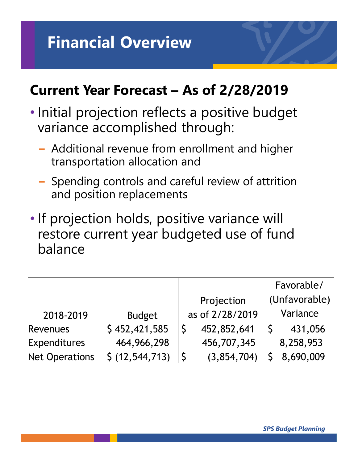## **Financial Overview**

### **Current Year Forecast – As of 2/28/2019**

- Initial projection reflects a positive budget variance accomplished through:
	- − Additional revenue from enrollment and higher transportation allocation and
	- − Spending controls and careful review of attrition and position replacements
- If projection holds, positive variance will restore current year budgeted use of fund balance

|                       |                   |                 |               | Favorable/ |
|-----------------------|-------------------|-----------------|---------------|------------|
|                       |                   | Projection      | (Unfavorable) |            |
| 2018-2019             | <b>Budget</b>     | as of 2/28/2019 |               | Variance   |
| <b>Revenues</b>       | \$452,421,585     | 452,852,641     |               | 431,056    |
| <b>Expenditures</b>   | 464, 966, 298     | 456,707,345     |               | 8,258,953  |
| <b>Net Operations</b> | \$ (12, 544, 713) | (3,854,704)     |               | 8,690,009  |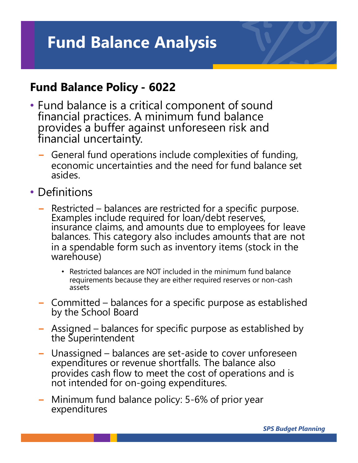### **Fund Balance Analysis**

#### **Fund Balance Policy - 6022**

- Fund balance is a critical component of sound financial practices. A minimum fund balance provides a buffer against unforeseen risk and financial uncertainty.
	- − General fund operations include complexities of funding, economic uncertainties and the need for fund balance set asides.
- Definitions
	- <sup>−</sup> Restricted balances are restricted for a specific purpose. Examples include required for loan/debt reserves, insurance claims, and amounts due to employees for leave balances. This category also includes amounts that are not in a spendable form such as inventory items (stock in the warehouse)
		- Restricted balances are NOT included in the minimum fund balance requirements because they are either required reserves or non-cash assets
	- <sup>−</sup> Committed balances for a specific purpose as established by the School Board
	- <sup>−</sup> Assigned balances for specific purpose as established by the Superintendent
	- − Unassigned balances are set-aside to cover unforeseen expenditures or revenue shortfalls. The balance also provides cash flow to meet the cost of operations and is not intended for on-going expenditures.
	- <sup>−</sup> Minimum fund balance policy: 5-6% of prior year expenditures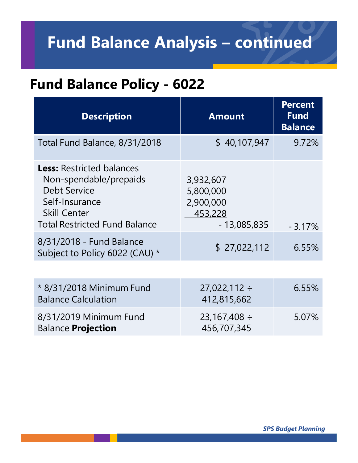## **Fund Balance Analysis – continued**

### **Fund Balance Policy - 6022**

| <b>Description</b>                                                                                                                                                 | <b>Amount</b>                                                   | <b>Percent</b><br><b>Fund</b><br><b>Balance</b> |
|--------------------------------------------------------------------------------------------------------------------------------------------------------------------|-----------------------------------------------------------------|-------------------------------------------------|
| Total Fund Balance, 8/31/2018                                                                                                                                      | \$40,107,947                                                    | 9.72%                                           |
| <b>Less: Restricted balances</b><br>Non-spendable/prepaids<br><b>Debt Service</b><br>Self-Insurance<br><b>Skill Center</b><br><b>Total Restricted Fund Balance</b> | 3,932,607<br>5,800,000<br>2,900,000<br>453,228<br>$-13,085,835$ | $-3.17%$                                        |
| 8/31/2018 - Fund Balance<br>Subject to Policy 6022 (CAU) *                                                                                                         | \$27,022,112                                                    | 6.55%                                           |
|                                                                                                                                                                    |                                                                 |                                                 |
| * 8/31/2018 Minimum Fund<br><b>Balance Calculation</b>                                                                                                             | $27,022,112 \div$<br>412,815,662                                | 6.55%                                           |
| 8/31/2019 Minimum Fund<br><b>Balance Projection</b>                                                                                                                | $23,167,408 \div$<br>456,707,345                                | 5.07%                                           |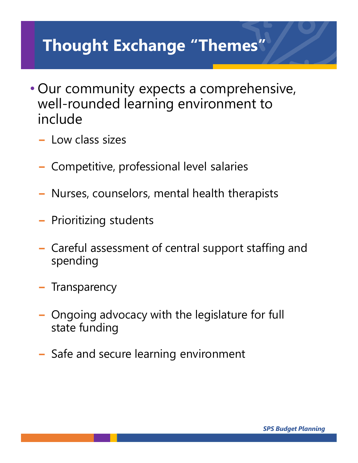## **Thought Exchange "Themes"**

- Our community expects a comprehensive, well-rounded learning environment to include
	- − Low class sizes
	- − Competitive, professional level salaries
	- − Nurses, counselors, mental health therapists
	- − Prioritizing students
	- − Careful assessment of central support staffing and spending
	- − Transparency
	- − Ongoing advocacy with the legislature for full state funding
	- − Safe and secure learning environment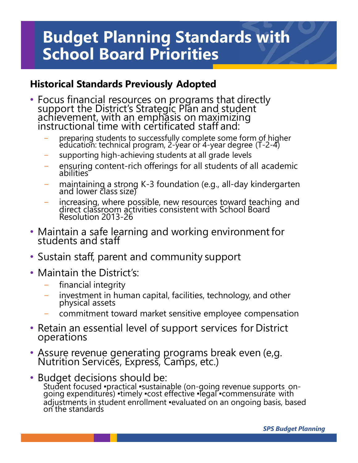### **Budget Planning Standards with School Board Priorities**

#### **Historical Standards Previously Adopted**

- Focus financial resources on programs that directly support the District's Strategic Plan and student achievement, with an emphasis on maximizing<br>instructional time with certificated staff and:
	- <sup>−</sup> preparing students to successfully complete some form of higher education: technical program, 2-year or 4-year degree (T-2-4)
	- supporting high-achieving students at all grade levels
	- abilities ensuring content-rich offerings for all students of all academic
	- and lower class size) − maintaining a strong K-3 foundation (e.g., all-day kindergarten
	- − increasing, where possible, new resources toward teaching and direct classroom activities consistent with School Board Resolution 2013-26
- $\bullet\,$  Maintain a safe learning and working environment for students and staff
- Sustain staff, parent and community support
- Maintain the District's:
	- financial integrity
	- investment in human capital, facilities, technology, and other physical assets
	- − commitment toward market sensitive employee compensation
- Retain an essential level of support services for District operations
- Assure revenue generating programs break even (e,g. Nutrition Services, Express, Camps, etc.)
- Budget decisions should be: Student focused ▪practical ▪sustainable (on-going revenue supports\_on-<br>going expenditures) ▪timely ▪cost effective ▪legal ▪commensurate with adjustments in student enrollment · evaluated on an ongoing basis, based<br>on the standards

*SPS Budget Planning*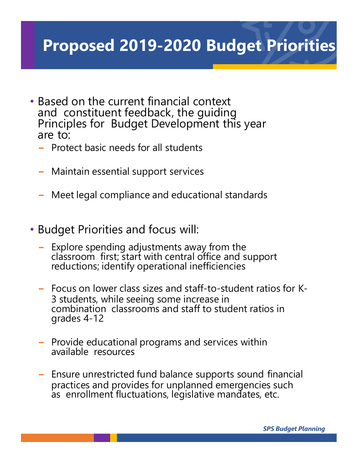## **Proposed 2019-2020 Budget Priorities**

- Based on the current financial context<br>and constituent feedback, the guiding Principles for Budget Development this year are to:
	- − Protect basic needs for all students
	- − Maintain essential support services
	- − Meet legal compliance and educational standards
- Budget Priorities and focus will:
	- − Explore spending adjustments away from the reductions; identify operational inefficiencies
	- − Focus on lower class sizes and staff-to-student ratios for K-3 students, while seeing some increase in combination classrooms and staff to student ratios in grades 4-12
	- − Provide educational programs and services within available resources
	- − Ensure unrestricted fund balance supports sound financial practices and provides for unplanned emergencies such as enrollment fluctuations, legislative mandates, etc.